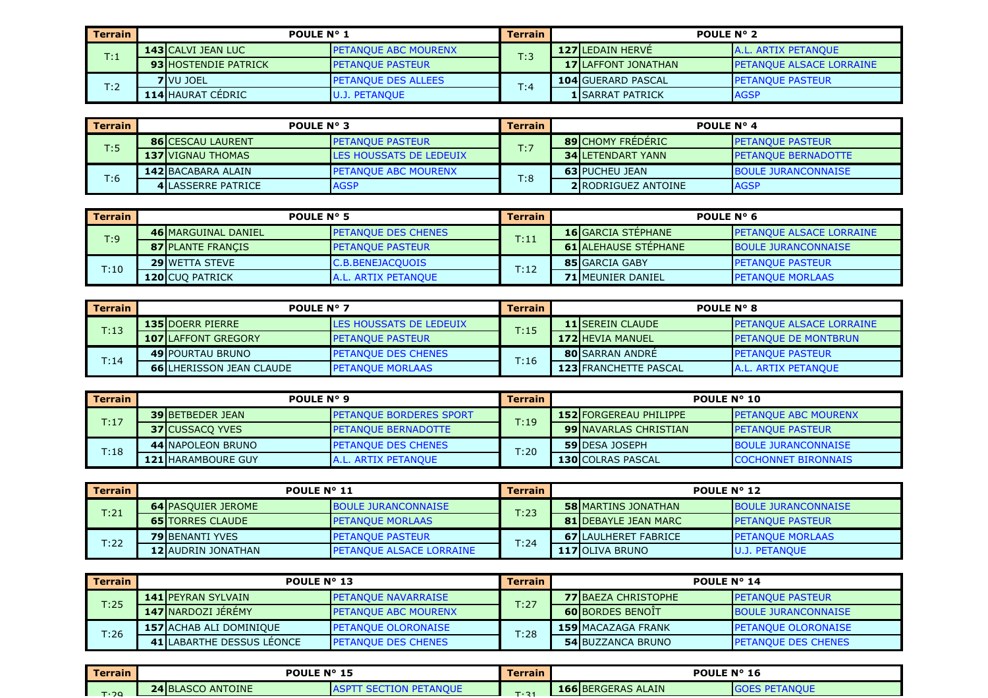| Terrain | POULE N° 1                  |                              | Terrain | <b>POULE N° 2</b>         |                                  |  |
|---------|-----------------------------|------------------------------|---------|---------------------------|----------------------------------|--|
| T:1     | <b>143 CALVI JEAN LUC</b>   | <b>IPETANOUE ABC MOURENX</b> | T:3     | <b>127 LEDAIN HERVE</b>   | <b>JA.L. ARTIX PETANOUE</b>      |  |
|         | <b>93 HOSTENDIE PATRICK</b> | <b>PETANOUE PASTEUR</b>      |         | 17 LAFFONT JONATHAN       | <b>IPETANOUE ALSACE LORRAINE</b> |  |
| T:2     | <b>7</b> VU JOEL            | <b>PETANOUE DES ALLEES</b>   | T:4     | <b>104 GUERARD PASCAL</b> | <b>I PETANOUE PASTEUR</b>        |  |
|         | <b>114 HAURAT CÉDRIC</b>    | U.J. PETANQUE                |         | <b>1 ISARRAT PATRICK</b>  | <b>AGSP</b>                      |  |

| <b>Terrain</b> | <b>POULE N° 3</b>         |                                | Terrain | POULE $N^{\circ}$ 4        |                            |  |
|----------------|---------------------------|--------------------------------|---------|----------------------------|----------------------------|--|
| T:5            | <b>86 CESCAU LAURENT</b>  | <b>I PETANOUE PASTEUR</b>      | T:7     | <b>89 CHOMY FREDERIC</b>   | <b>PETANQUE PASTEUR</b>    |  |
|                | <b>137 VIGNAU THOMAS</b>  | <b>LES HOUSSATS DE LEDEUIX</b> |         | <b>34 LETENDART YANN</b>   | <b>PETANOUE BERNADOTTE</b> |  |
| T:6            | 142 BACABARA ALAIN        | <b>IPETANOUE ABC MOURENX</b>   |         | <b>63 PUCHEU JEAN</b>      | <b>BOULE JURANCONNAISE</b> |  |
|                | <b>4 LASSERRE PATRICE</b> | <b>AGSP</b>                    | T:8     | <b>2IRODRIGUEZ ANTOINE</b> | <b>AGSP</b>                |  |

| Terrain | POULE N° 5                 |                            | <b>Terrain</b> | POULE $N^{\circ}$ 6         |                                  |  |
|---------|----------------------------|----------------------------|----------------|-----------------------------|----------------------------------|--|
| T:9     | <b>46 MARGUINAL DANIEL</b> | <b>PETANOUE DES CHENES</b> | T:11           | <b>16</b> GARCIA STEPHANE   | <b>IPETANOUE ALSACE LORRAINE</b> |  |
|         | <b>87 PLANTE FRANCIS</b>   | <b>IPETANOUE PASTEUR</b>   |                | <b>61 ALEHAUSE STEPHANE</b> | <b>BOULE JURANCONNAISE</b>       |  |
| T:10    | <b>29 WETTA STEVE</b>      | <b>C.B.BENEJACQUOIS</b>    | T:12           | <b>85 GARCIA GABY</b>       | <b>IPETANOUE PASTEUR</b>         |  |
|         | 120 CUQ PATRICK            | A.L. ARTIX PETANQUE        |                | <b>71 MEUNIER DANIEL</b>    | <b>PETANQUE MORLAAS</b>          |  |

| Terrain | <b>POULE N° 7</b>                |                            | <b>Terrain</b> | <b>POULE N° 8</b>            |                                 |  |
|---------|----------------------------------|----------------------------|----------------|------------------------------|---------------------------------|--|
| T:13    | <b>135 DOERR PIERRE</b>          | LES HOUSSATS DE LEDEUIX    | T:15           | <b>11 ISEREIN CLAUDE</b>     | <b>PETANQUE ALSACE LORRAINE</b> |  |
|         | <b>107 LAFFONT GREGORY</b>       | <b>IPETANOUE PASTEUR</b>   |                | 172 HEVIA MANUEL             | <b>IPETANOUE DE MONTBRUN</b>    |  |
| T:14    | <b>49 POURTAU BRUNO</b>          | <b>PETANOUE DES CHENES</b> |                | <b>80</b> SARRAN ANDRE       | <b>IPETANOUE PASTEUR</b>        |  |
|         | <b>66 ILHERISSON JEAN CLAUDE</b> | <b>PETANQUE MORLAAS</b>    | T:16           | <b>123 FRANCHETTE PASCAL</b> | A.L. ARTIX PETANQUE             |  |

| l Terrain | <b>POULE N° 9</b>         |                            | Terrain | <b>POULE N° 10</b>            |                               |  |
|-----------|---------------------------|----------------------------|---------|-------------------------------|-------------------------------|--|
| T:17      | <b>39 BETBEDER JEAN</b>   | IPETANOUE BORDERES SPORT   | T:19    | <b>152 FORGEREAU PHILIPPE</b> | <b>I PETANQUE ABC MOURENX</b> |  |
|           | <b>37 CUSSACO YVES</b>    | <b>PETANQUE BERNADOTTE</b> |         | <b>99 INAVARLAS CHRISTIAN</b> | <b>INTERFATOUE PASTEUR</b>    |  |
|           | 44 NAPOLEON BRUNO         | <b>PETANOUE DES CHENES</b> | T:20    | <b>59 DESA JOSEPH</b>         | <b>BOULE JURANCONNAISE</b>    |  |
| T:18      | <b>121IHARAMBOURE GUY</b> | A.L. ARTIX PETANQUE        |         | <b>130 COLRAS PASCAL</b>      | <b>COCHONNET BIRONNAIS</b>    |  |

| Terrain | <b>POULE N° 11</b>        |                                   | <b>Terrain</b> | POULE N° 12                  |                            |  |
|---------|---------------------------|-----------------------------------|----------------|------------------------------|----------------------------|--|
| T:21    | <b>64 PASOUIER JEROME</b> | <b>BOULE JURANCONNAISE</b>        | T:23           | <b>58 MARTINS JONATHAN</b>   | <b>BOULE JURANCONNAISE</b> |  |
|         | <b>65 ITORRES CLAUDE</b>  | <b>PETANQUE MORLAAS</b>           |                | <b>81 IDEBAYLE JEAN MARC</b> | <b>IPETANOUE PASTEUR</b>   |  |
|         | <b>79 BENANTI YVES</b>    | <b>PETANOUE PASTEUR</b>           | T:24           | <b>67 LAULHERET FABRICE</b>  | <b>I PETANQUE MORLAAS</b>  |  |
| T:22    | <b>12 AUDRIN JONATHAN</b> | <b>I PETANOUE ALSACE LORRAINE</b> |                | 117 OLIVA BRUNO              | <b>U.J. PETANOUE</b>       |  |

| <b>Terrain</b> | POULE $N^{\circ}$ 13           |                              | <b>Terrain</b> | <b>POULE N° 14</b>         |                             |  |
|----------------|--------------------------------|------------------------------|----------------|----------------------------|-----------------------------|--|
| T:25           | <b>141 IPEYRAN SYLVAIN</b>     | <b>PETANOUE NAVARRAISE</b>   | T:27           | <b>77 BAEZA CHRISTOPHE</b> | <b>IPETANOUE PASTEUR</b>    |  |
|                | 147 NARDOZI JÉRÉMY             | <b>IPETANOUE ABC MOURENX</b> |                | <b>60 BORDES BENOIT</b>    | <b>BOULE JURANCONNAISE</b>  |  |
| T:26           | <b>157 ACHAB ALI DOMINIQUE</b> | <b>PETANQUE OLORONAISE</b>   |                | <b>159 MACAZAGA FRANK</b>  | <b>IPETANOUE OLORONAISE</b> |  |
|                | 41 ILABARTHE DESSUS LÉONCE     | <b>PETANQUE DES CHENES</b>   | T:28           | <b>54 BUZZANCA BRUNO</b>   | <b>IPETANOUE DES CHENES</b> |  |

| Terrain             | POULE Nº 15                        |           | Terrain | <b>POULE N°</b><br>16     |             |  |
|---------------------|------------------------------------|-----------|---------|---------------------------|-------------|--|
| $T: \Omega$<br>- 29 | <b>3LASCO ANTOINE</b><br>$24$ $B1$ | DE<br>-10 | T.21    | <b>166 BERGERAS ALAIN</b> | <b>NOUE</b> |  |
|                     |                                    |           |         |                           |             |  |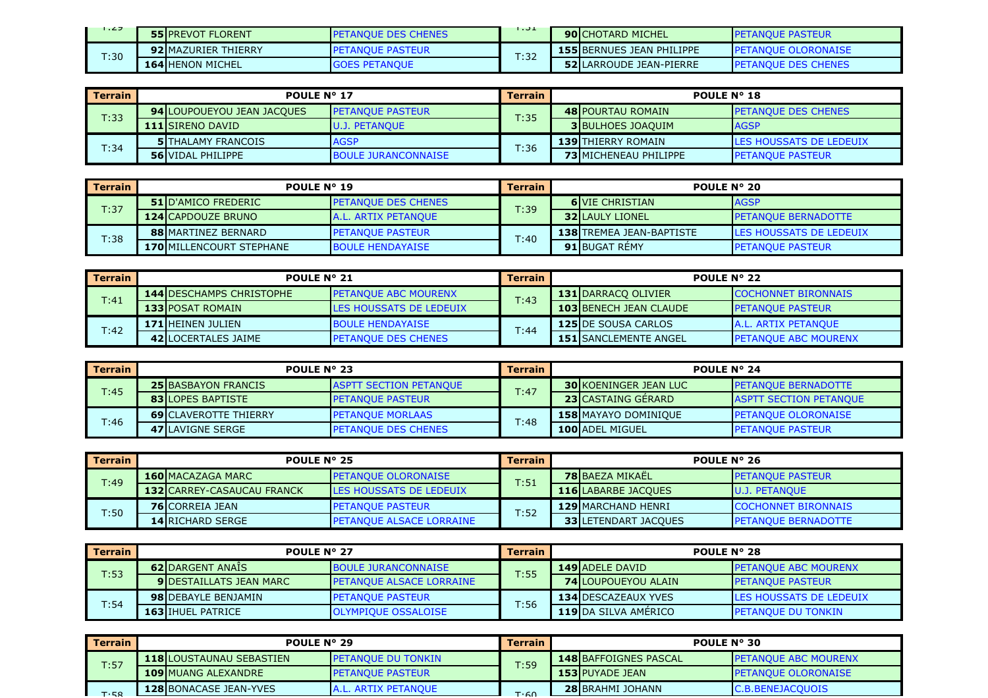| .27  | <b>55 IPREVOT FLORENT</b>  | <b>PETANOUE DES CHENES</b> | .    | <b>90</b> CHOTARD MICHEL         | <b>IPETANOUE PASTEUR</b>             |
|------|----------------------------|----------------------------|------|----------------------------------|--------------------------------------|
| T:30 | <b>92 MAZURIER THIERRY</b> | <b>PETANOUE PASTEUR</b>    |      | <b>155 BERNUES JEAN PHILIPPE</b> | <b>IPETANOUE OLORONAISE</b>          |
|      | <b>164 HENON MICHEL</b>    | <b>GOES PETANOUE</b>       | T:32 | <b>52 LARROUDE JEAN-PIERRE</b>   | <b>EDES CHENES</b><br><b>IPFTANO</b> |

| <b>Terrain</b> |                            | POULE N° 17                |      | <b>POULE N° 18</b>           |                                 |  |
|----------------|----------------------------|----------------------------|------|------------------------------|---------------------------------|--|
| T:33           | 94 LOUPOUEYOU JEAN JACQUES | <b>I PETANQUE PASTEUR</b>  | T:35 | <b>48 POURTAU ROMAIN</b>     | <b>IPETANOUE DES CHENES</b>     |  |
|                | <b>111</b> ISIRENO DAVID   | <b>U.J. PETANOUE</b>       |      | <b>3 BULHOES JOAQUIM</b>     | <b>IAGSP</b>                    |  |
| T:34           | <b>5 ITHALAMY FRANCOIS</b> | <b>AGSP</b>                | T:36 | <b>139 THIERRY ROMAIN</b>    | <b>ILES HOUSSATS DE LEDEUIX</b> |  |
|                | <b>56 VIDAL PHILIPPE</b>   | <b>BOULE JURANCONNAISE</b> |      | <b>73IMICHENEAU PHILIPPE</b> | <b>PETANQUE PASTEUR</b>         |  |

| Terrain | POULE N° 19                     |                            | <b>Terrain</b> | <b>POULE N° 20</b> |                                 |                                 |
|---------|---------------------------------|----------------------------|----------------|--------------------|---------------------------------|---------------------------------|
| T:37    | <b>51 ID'AMICO FREDERIC</b>     | <b>PETANOUE DES CHENES</b> | T:39           |                    | <b>6</b> VIE CHRISTIAN          | <b>IAGSP</b>                    |
|         | <b>124 CAPDOUZE BRUNO</b>       | <b>A.L. ARTIX PETANOUE</b> |                |                    | <b>32 LAULY LIONEL</b>          | <b>IPETANOUE BERNADOTTE</b>     |
| T:38    | <b>88IMARTINEZ BERNARD</b>      | <b>PETANOUE PASTEUR</b>    | T:40           |                    | <b>138 TREMEA JEAN-BAPTISTE</b> | <b>ILES HOUSSATS DE LEDEUIX</b> |
|         | <b>170 MILLENCOURT STEPHANE</b> | <b>BOULE HENDAYAISE</b>    |                |                    | <b>91 BUGAT REMY</b>            | <b>PETANQUE PASTEUR</b>         |

| l Terrain | <b>POULE N° 21</b>              |                                | Terrain | <b>POULE N° 22</b>            |                             |  |
|-----------|---------------------------------|--------------------------------|---------|-------------------------------|-----------------------------|--|
| T:41      | <b>144 DESCHAMPS CHRISTOPHE</b> | <b>I PETANOUE ABC MOURENX</b>  | T:43    | <b>131 IDARRACO OLIVIER</b>   | <b>COCHONNET BIRONNAIS</b>  |  |
|           | <b>133 POSAT ROMAIN</b>         | <b>LES HOUSSATS DE LEDEUIX</b> |         | <b>103 BENECH JEAN CLAUDE</b> | <b>PETANQUE PASTEUR</b>     |  |
| T:42      | <b>171 HEINEN JULIEN</b>        | <b>BOULE HENDAYAISE</b>        | T:44    | <b>125 DE SOUSA CARLOS</b>    | A.L. ARTIX PETANQUE         |  |
|           | <b>42 ILOCERTALES JAIME</b>     | <b>I PETANQUE DES CHENES</b>   |         | <b>151 SANCLEMENTE ANGEL</b>  | <b>PETANQUE ABC MOURENX</b> |  |

| l Terrain | POULE N° 23                  |                                | <b>Terrain</b> | POULE $N^{\circ}$ 24 |                              |                               |
|-----------|------------------------------|--------------------------------|----------------|----------------------|------------------------------|-------------------------------|
| T:45      | <b>25 BASBAYON FRANCIS</b>   | <b>LASPTT SECTION PETANOUE</b> | T:47           |                      | <b>30 KOENINGER JEAN LUC</b> | <b>IPETANOUE BERNADOTTE</b>   |
|           | <b>83 ILOPES BAPTISTE</b>    | <b>I PETANOUE PASTEUR</b>      |                |                      | <b>23 CASTAING GERARD</b>    | <b>ASPTT SECTION PETANQUE</b> |
| T:46      | <b>69 CLAVEROTTE THIERRY</b> | <b>I PETANOUE MORLAAS</b>      | T:48           |                      | <b>158 MAYAYO DOMINIOUE</b>  | <b>IPETANOUE OLORONAISE</b>   |
|           | <b>47 LAVIGNE SERGE</b>      | <b>PETANQUE DES CHENES</b>     |                |                      | <b>100 ADEL MIGUEL</b>       | <b>PETANQUE PASTEUR</b>       |

| <b>Terrain</b> | <b>POULE N° 25</b>                |                                 | Terrain | POULE N° 26                 |                            |  |
|----------------|-----------------------------------|---------------------------------|---------|-----------------------------|----------------------------|--|
| T:49           | <b>160 MACAZAGA MARC</b>          | <b>PETANQUE OLORONAISE</b>      | T:51    | <b>78 BAEZA MIKAËL</b>      | <b>IPETANOUE PASTEUR</b>   |  |
|                | <b>132 CARREY-CASAUCAU FRANCK</b> | <b>LES HOUSSATS DE LEDEUIX</b>  |         | <b>116 LABARBE JACQUES</b>  | <b>JU.J. PETANOUE</b>      |  |
|                | <b>76</b> CORREIA JEAN            | <b>IPETANOUE PASTEUR</b>        | T:52    | <b>129 MARCHAND HENRI</b>   | <b>COCHONNET BIRONNAIS</b> |  |
| T:50           | <b>14 RICHARD SERGE</b>           | <b>PETANQUE ALSACE LORRAINE</b> |         | <b>33 LETENDART JACQUES</b> | <b>PETANQUE BERNADOTTE</b> |  |

| Terrain | <b>POULE N° 27</b>             |                                  | <b>Terrain</b> | <b>POULE N° 28</b>         |                                |  |
|---------|--------------------------------|----------------------------------|----------------|----------------------------|--------------------------------|--|
| T:53    | <b>62 DARGENT ANAIS</b>        | <b>BOULE JURANCONNAISE</b>       | T:55           | <b>149 ADELE DAVID</b>     | <b>PETANOUE ABC MOURENX</b>    |  |
|         | <b>9IDESTAILLATS JEAN MARC</b> | <b>IPETANOUE ALSACE LORRAINE</b> |                | <b>74 LOUPOUEYOU ALAIN</b> | <b>IPETANOUE PASTEUR</b>       |  |
| T:54    | <b>98IDEBAYLE BENJAMIN</b>     | <b>PETANOUE PASTEUR</b>          | T:56           | <b>134 DESCAZEAUX YVES</b> | <b>LES HOUSSATS DE LEDEUIX</b> |  |
|         | <b>163 IHUEL PATRICE</b>       | <b>OLYMPIOUE OSSALOISE</b>       |                | 119 DA SILVA AMÉRICO       | <b>IPETANOUE DU TONKIN</b>     |  |

| <b>Terrain</b> | POULE N° 29                     |                           | Terrain | POULE N° 30                  |                               |  |
|----------------|---------------------------------|---------------------------|---------|------------------------------|-------------------------------|--|
| T:57           | <b>118 LOUSTAUNAU SEBASTIEN</b> | <b>PETANOUE DU TONKIN</b> | T:59    | <b>148 BAFFOIGNES PASCAL</b> | <b>I PETANQUE ABC MOURENX</b> |  |
|                | <b>109 MUANG ALEXANDRE</b>      | <b>PETANOUE PASTEUR</b>   |         | <b>153 PUYADE JEAN</b>       | <b>IPETANOUE OLORONAISE</b>   |  |
|                | <b>128 BONACASE JEAN-YVES</b>   | L. ARTIX PETANOUE         |         | <b>28 BRAHMI JOHANN</b>      | <b>C.B.BENEJACQUOIS</b>       |  |
| <b>T.58</b>    |                                 |                           | T·60    |                              |                               |  |